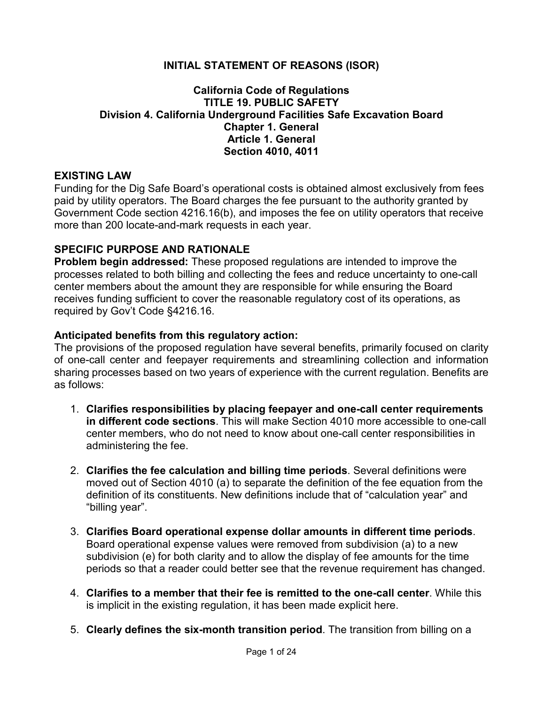### **INITIAL STATEMENT OF REASONS (ISOR)**

#### **California Code of Regulations TITLE 19. PUBLIC SAFETY Division 4. California Underground Facilities Safe Excavation Board Chapter 1. General Article 1. General Section 4010, 4011**

#### **EXISTING LAW**

Funding for the Dig Safe Board's operational costs is obtained almost exclusively from fees paid by utility operators. The Board charges the fee pursuant to the authority granted by Government Code section 4216.16(b), and imposes the fee on utility operators that receive more than 200 locate-and-mark requests in each year.

#### **SPECIFIC PURPOSE AND RATIONALE**

**Problem begin addressed:** These proposed regulations are intended to improve the processes related to both billing and collecting the fees and reduce uncertainty to one-call center members about the amount they are responsible for while ensuring the Board receives funding sufficient to cover the reasonable regulatory cost of its operations, as required by Gov't Code §4216.16.

#### **Anticipated benefits from this regulatory action:**

The provisions of the proposed regulation have several benefits, primarily focused on clarity of one-call center and feepayer requirements and streamlining collection and information sharing processes based on two years of experience with the current regulation. Benefits are as follows:

- 1. **Clarifies responsibilities by placing feepayer and one-call center requirements in different code sections**. This will make Section 4010 more accessible to one-call center members, who do not need to know about one-call center responsibilities in administering the fee.
- 2. **Clarifies the fee calculation and billing time periods**. Several definitions were moved out of Section 4010 (a) to separate the definition of the fee equation from the definition of its constituents. New definitions include that of "calculation year" and "billing year".
- 3. **Clarifies Board operational expense dollar amounts in different time periods**. Board operational expense values were removed from subdivision (a) to a new subdivision (e) for both clarity and to allow the display of fee amounts for the time periods so that a reader could better see that the revenue requirement has changed.
- 4. **Clarifies to a member that their fee is remitted to the one-call center**. While this is implicit in the existing regulation, it has been made explicit here.
- 5. **Clearly defines the six-month transition period**. The transition from billing on a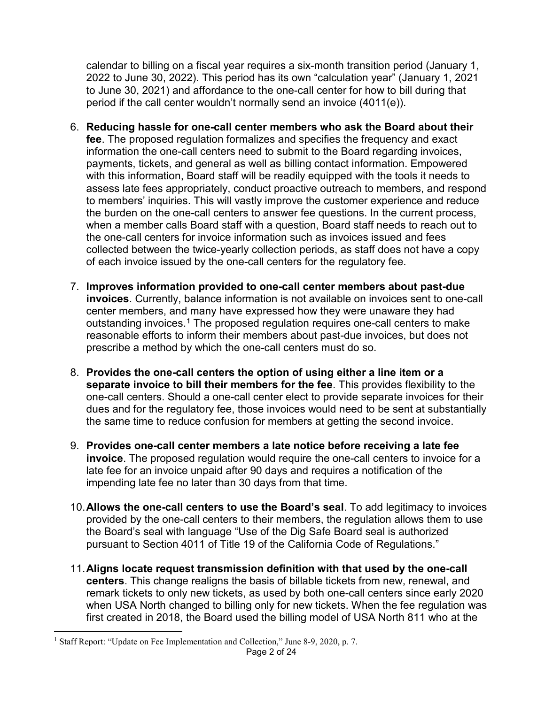calendar to billing on a fiscal year requires a six-month transition period (January 1, 2022 to June 30, 2022). This period has its own "calculation year" (January 1, 2021 to June 30, 2021) and affordance to the one-call center for how to bill during that period if the call center wouldn't normally send an invoice (4011(e)).

- 6. **Reducing hassle for one-call center members who ask the Board about their fee**. The proposed regulation formalizes and specifies the frequency and exact information the one-call centers need to submit to the Board regarding invoices, payments, tickets, and general as well as billing contact information. Empowered with this information, Board staff will be readily equipped with the tools it needs to assess late fees appropriately, conduct proactive outreach to members, and respond to members' inquiries. This will vastly improve the customer experience and reduce the burden on the one-call centers to answer fee questions. In the current process, when a member calls Board staff with a question, Board staff needs to reach out to the one-call centers for invoice information such as invoices issued and fees collected between the twice-yearly collection periods, as staff does not have a copy of each invoice issued by the one-call centers for the regulatory fee.
- 7. **Improves information provided to one-call center members about past-due invoices**. Currently, balance information is not available on invoices sent to one-call center members, and many have expressed how they were unaware they had outstanding invoices.<sup>[1](#page-1-0)</sup> The proposed regulation requires one-call centers to make reasonable efforts to inform their members about past-due invoices, but does not prescribe a method by which the one-call centers must do so.
- 8. **Provides the one-call centers the option of using either a line item or a separate invoice to bill their members for the fee**. This provides flexibility to the one-call centers. Should a one-call center elect to provide separate invoices for their dues and for the regulatory fee, those invoices would need to be sent at substantially the same time to reduce confusion for members at getting the second invoice.
- 9. **Provides one-call center members a late notice before receiving a late fee invoice**. The proposed regulation would require the one-call centers to invoice for a late fee for an invoice unpaid after 90 days and requires a notification of the impending late fee no later than 30 days from that time.
- 10.**Allows the one-call centers to use the Board's seal**. To add legitimacy to invoices provided by the one-call centers to their members, the regulation allows them to use the Board's seal with language "Use of the Dig Safe Board seal is authorized pursuant to Section 4011 of Title 19 of the California Code of Regulations."
- 11.**Aligns locate request transmission definition with that used by the one-call centers**. This change realigns the basis of billable tickets from new, renewal, and remark tickets to only new tickets, as used by both one-call centers since early 2020 when USA North changed to billing only for new tickets. When the fee regulation was first created in 2018, the Board used the billing model of USA North 811 who at the

 $\overline{a}$ 

<span id="page-1-0"></span><sup>&</sup>lt;sup>1</sup> Staff Report: "Update on Fee Implementation and Collection," June 8-9, 2020, p. 7.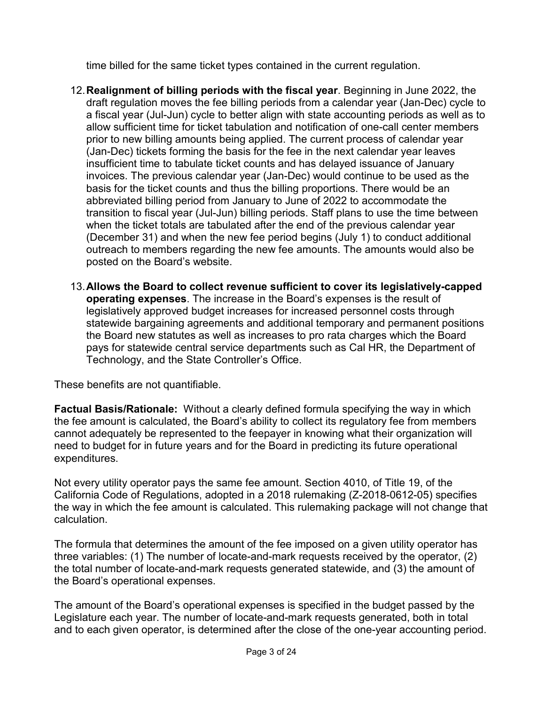time billed for the same ticket types contained in the current regulation.

- 12.**Realignment of billing periods with the fiscal year**. Beginning in June 2022, the draft regulation moves the fee billing periods from a calendar year (Jan-Dec) cycle to a fiscal year (Jul-Jun) cycle to better align with state accounting periods as well as to allow sufficient time for ticket tabulation and notification of one-call center members prior to new billing amounts being applied. The current process of calendar year (Jan-Dec) tickets forming the basis for the fee in the next calendar year leaves insufficient time to tabulate ticket counts and has delayed issuance of January invoices. The previous calendar year (Jan-Dec) would continue to be used as the basis for the ticket counts and thus the billing proportions. There would be an abbreviated billing period from January to June of 2022 to accommodate the transition to fiscal year (Jul-Jun) billing periods. Staff plans to use the time between when the ticket totals are tabulated after the end of the previous calendar year (December 31) and when the new fee period begins (July 1) to conduct additional outreach to members regarding the new fee amounts. The amounts would also be posted on the Board's website.
- 13.**Allows the Board to collect revenue sufficient to cover its legislatively-capped operating expenses**. The increase in the Board's expenses is the result of legislatively approved budget increases for increased personnel costs through statewide bargaining agreements and additional temporary and permanent positions the Board new statutes as well as increases to pro rata charges which the Board pays for statewide central service departments such as Cal HR, the Department of Technology, and the State Controller's Office.

These benefits are not quantifiable.

**Factual Basis/Rationale:** Without a clearly defined formula specifying the way in which the fee amount is calculated, the Board's ability to collect its regulatory fee from members cannot adequately be represented to the feepayer in knowing what their organization will need to budget for in future years and for the Board in predicting its future operational expenditures.

Not every utility operator pays the same fee amount. Section 4010, of Title 19, of the California Code of Regulations, adopted in a 2018 rulemaking (Z-2018-0612-05) specifies the way in which the fee amount is calculated. This rulemaking package will not change that calculation.

The formula that determines the amount of the fee imposed on a given utility operator has three variables: (1) The number of locate-and-mark requests received by the operator, (2) the total number of locate-and-mark requests generated statewide, and (3) the amount of the Board's operational expenses.

The amount of the Board's operational expenses is specified in the budget passed by the Legislature each year. The number of locate-and-mark requests generated, both in total and to each given operator, is determined after the close of the one-year accounting period.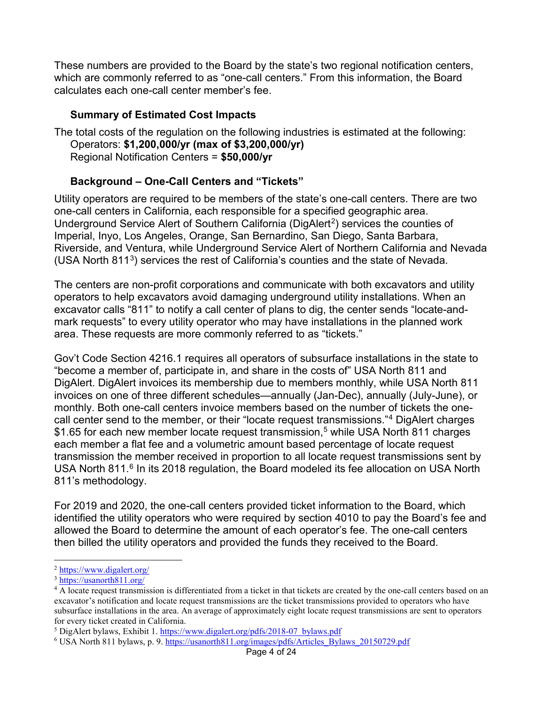These numbers are provided to the Board by the state's two regional notification centers, which are commonly referred to as "one-call centers." From this information, the Board calculates each one-call center member's fee.

# **Summary of Estimated Cost Impacts**

The total costs of the regulation on the following industries is estimated at the following: Operators: **\$1,200,000/yr (max of \$3,200,000/yr)** Regional Notification Centers = **\$50,000/yr**

# **Background – One-Call Centers and "Tickets"**

Utility operators are required to be members of the state's one-call centers. There are two one-call centers in California, each responsible for a specified geographic area. Underground Service Alert of Southern California (DigAlert<sup>2</sup>) services the counties of Imperial, Inyo, Los Angeles, Orange, San Bernardino, San Diego, Santa Barbara, Riverside, and Ventura, while Underground Service Alert of Northern California and Nevada (USA North 811[3\)](#page-3-1) services the rest of California's counties and the state of Nevada.

The centers are non-profit corporations and communicate with both excavators and utility operators to help excavators avoid damaging underground utility installations. When an excavator calls "811" to notify a call center of plans to dig, the center sends "locate-andmark requests" to every utility operator who may have installations in the planned work area. These requests are more commonly referred to as "tickets."

Gov't Code Section 4216.1 requires all operators of subsurface installations in the state to "become a member of, participate in, and share in the costs of" USA North 811 and DigAlert. DigAlert invoices its membership due to members monthly, while USA North 811 invoices on one of three different schedules—annually (Jan-Dec), annually (July-June), or monthly. Both one-call centers invoice members based on the number of tickets the onecall center send to the member, or their "locate request transmissions."[4](#page-3-2) DigAlert charges \$1.6[5](#page-3-3) for each new member locate request transmission,<sup>5</sup> while USA North 811 charges each member a flat fee and a volumetric amount based percentage of locate request transmission the member received in proportion to all locate request transmissions sent by USA North 811.<sup>[6](#page-3-4)</sup> In its 2018 regulation, the Board modeled its fee allocation on USA North 811's methodology.

For 2019 and 2020, the one-call centers provided ticket information to the Board, which identified the utility operators who were required by section 4010 to pay the Board's fee and allowed the Board to determine the amount of each operator's fee. The one-call centers then billed the utility operators and provided the funds they received to the Board.

 $\overline{a}$ 

<span id="page-3-2"></span>

<span id="page-3-1"></span><span id="page-3-0"></span> $\frac{2 \text{ https://www.digaler..org/}}{\text{https://usanorth811.org/}}$ <br> $\frac{3 \text{ https://usanorth811.org/}}{4 \text{ A locate request transmission is differentiated from a ticket in that tickets are created by the one-call centers based on an$ excavator's notification and locate request transmissions are the ticket transmissions provided to operators who have subsurface installations in the area. An average of approximately eight locate request transmissions are sent to operators for every ticket created in California.<br><sup>5</sup> DigAlert bylaws, Exhibit 1. https://www.digalert.org/pdfs/2018-07 bylaws.pdf

<span id="page-3-3"></span>

<span id="page-3-4"></span><sup>&</sup>lt;sup>6</sup> USA North 811 bylaws, p. 9. https://usanorth811.org/images/pdfs/Articles\_Bylaws\_20150729.pdf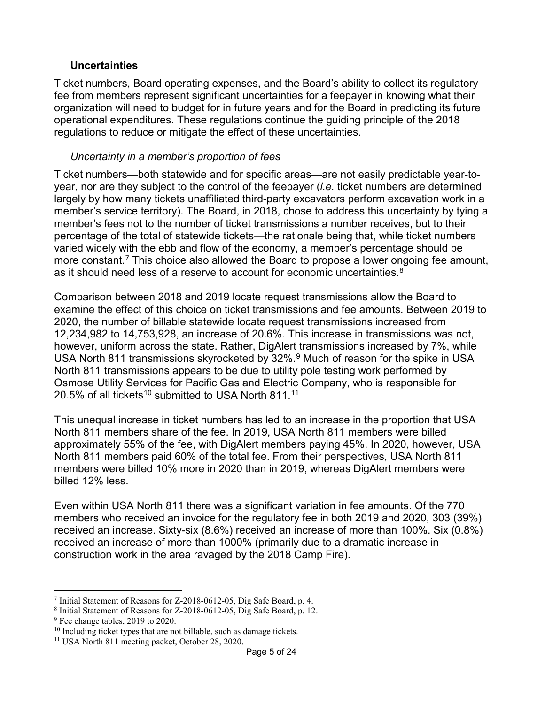### **Uncertainties**

Ticket numbers, Board operating expenses, and the Board's ability to collect its regulatory fee from members represent significant uncertainties for a feepayer in knowing what their organization will need to budget for in future years and for the Board in predicting its future operational expenditures. These regulations continue the guiding principle of the 2018 regulations to reduce or mitigate the effect of these uncertainties.

### *Uncertainty in a member's proportion of fees*

Ticket numbers—both statewide and for specific areas—are not easily predictable year-toyear, nor are they subject to the control of the feepayer (*i.e.* ticket numbers are determined largely by how many tickets unaffiliated third-party excavators perform excavation work in a member's service territory). The Board, in 2018, chose to address this uncertainty by tying a member's fees not to the number of ticket transmissions a number receives, but to their percentage of the total of statewide tickets—the rationale being that, while ticket numbers varied widely with the ebb and flow of the economy, a member's percentage should be more constant.<sup>[7](#page-4-0)</sup> This choice also allowed the Board to propose a lower ongoing fee amount, as it should need less of a reserve to account for economic uncertainties. $^8$  $^8$ 

Comparison between 2018 and 2019 locate request transmissions allow the Board to examine the effect of this choice on ticket transmissions and fee amounts. Between 2019 to 2020, the number of billable statewide locate request transmissions increased from 12,234,982 to 14,753,928, an increase of 20.6%. This increase in transmissions was not, however, uniform across the state. Rather, DigAlert transmissions increased by 7%, while USA North 811 transmissions skyrocketed by 32%.<sup>[9](#page-4-2)</sup> Much of reason for the spike in USA North 811 transmissions appears to be due to utility pole testing work performed by Osmose Utility Services for Pacific Gas and Electric Company, who is responsible for 20.5% of all tickets<sup>[10](#page-4-3)</sup> submitted to USA North 8[11](#page-4-4).<sup>11</sup>

This unequal increase in ticket numbers has led to an increase in the proportion that USA North 811 members share of the fee. In 2019, USA North 811 members were billed approximately 55% of the fee, with DigAlert members paying 45%. In 2020, however, USA North 811 members paid 60% of the total fee. From their perspectives, USA North 811 members were billed 10% more in 2020 than in 2019, whereas DigAlert members were billed 12% less.

Even within USA North 811 there was a significant variation in fee amounts. Of the 770 members who received an invoice for the regulatory fee in both 2019 and 2020, 303 (39%) received an increase. Sixty-six (8.6%) received an increase of more than 100%. Six (0.8%) received an increase of more than 1000% (primarily due to a dramatic increase in construction work in the area ravaged by the 2018 Camp Fire).

 $\overline{a}$ <sup>7</sup> Initial Statement of Reasons for Z-2018-0612-05, Dig Safe Board, p. 4.

<span id="page-4-1"></span><span id="page-4-0"></span><sup>8</sup> Initial Statement of Reasons for Z-2018-0612-05, Dig Safe Board, p. 12.

<span id="page-4-2"></span><sup>&</sup>lt;sup>9</sup> Fee change tables, 2019 to 2020.

<span id="page-4-3"></span><sup>&</sup>lt;sup>10</sup> Including ticket types that are not billable, such as damage tickets.

<span id="page-4-4"></span><sup>11</sup> USA North 811 meeting packet, October 28, 2020.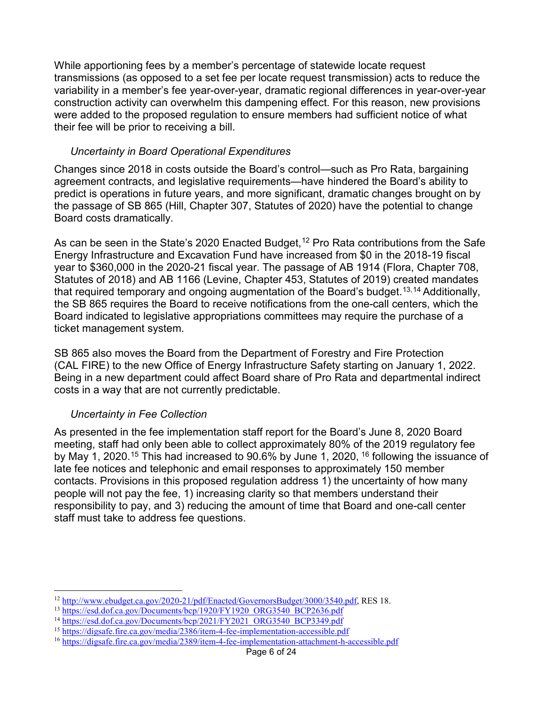While apportioning fees by a member's percentage of statewide locate request transmissions (as opposed to a set fee per locate request transmission) acts to reduce the variability in a member's fee year-over-year, dramatic regional differences in year-over-year construction activity can overwhelm this dampening effect. For this reason, new provisions were added to the proposed regulation to ensure members had sufficient notice of what their fee will be prior to receiving a bill.

## *Uncertainty in Board Operational Expenditures*

Changes since 2018 in costs outside the Board's control—such as Pro Rata, bargaining agreement contracts, and legislative requirements—have hindered the Board's ability to predict is operations in future years, and more significant, dramatic changes brought on by the passage of SB 865 (Hill, Chapter 307, Statutes of 2020) have the potential to change Board costs dramatically.

As can be seen in the State's 2020 Enacted Budget,<sup>[12](#page-5-0)</sup> Pro Rata contributions from the Safe Energy Infrastructure and Excavation Fund have increased from \$0 in the 2018-19 fiscal year to \$360,000 in the 2020-21 fiscal year. The passage of AB 1914 (Flora, Chapter 708, Statutes of 2018) and AB 1166 (Levine, Chapter 453, Statutes of 2019) created mandates that required temporary and ongoing augmentation of the Board's budget.<sup>13,[14](#page-5-2)</sup> Additionally, the SB 865 requires the Board to receive notifications from the one-call centers, which the Board indicated to legislative appropriations committees may require the purchase of a ticket management system.

SB 865 also moves the Board from the Department of Forestry and Fire Protection (CAL FIRE) to the new Office of Energy Infrastructure Safety starting on January 1, 2022. Being in a new department could affect Board share of Pro Rata and departmental indirect costs in a way that are not currently predictable.

# *Uncertainty in Fee Collection*

As presented in the fee implementation staff report for the Board's June 8, 2020 Board meeting, staff had only been able to collect approximately 80% of the 2019 regulatory fee by May 1, 2020.<sup>[15](#page-5-3)</sup> This had increased to 90.6% by June 1, 2020, <sup>[16](#page-5-4)</sup> following the issuance of late fee notices and telephonic and email responses to approximately 150 member contacts. Provisions in this proposed regulation address 1) the uncertainty of how many people will not pay the fee, 1) increasing clarity so that members understand their responsibility to pay, and 3) reducing the amount of time that Board and one-call center staff must take to address fee questions.

<span id="page-5-0"></span> $\overline{a}$  $12 \frac{\text{http://www.ebudget.ca.gov/2020-21/pdf/Enacted/GovernorsBudget/3000/3540.pdf}}{\text{https://esd.dof.ca.gov/Documents/bcp/1920/FY1920_ORG3540_BCP2636.pdf}}$ <br>  $14 \frac{\text{https://esd.dof.ca.gov/Documents/bcp/1920/FY1920_ORG3540_BCP2636.pdf}}{\text{https://esd.dof.ca.gov/Documents/bcp/2021/FY2021_ORG3540_BCP3349.pdf}}$ <br>  $15 \frac{\text{https://dissafe.fire.ca.gov/media/2386/item-4-fee-implementation-accessible.pdf}}{\text{https://$ 

<span id="page-5-1"></span>

<span id="page-5-2"></span>

<span id="page-5-3"></span>

<span id="page-5-4"></span>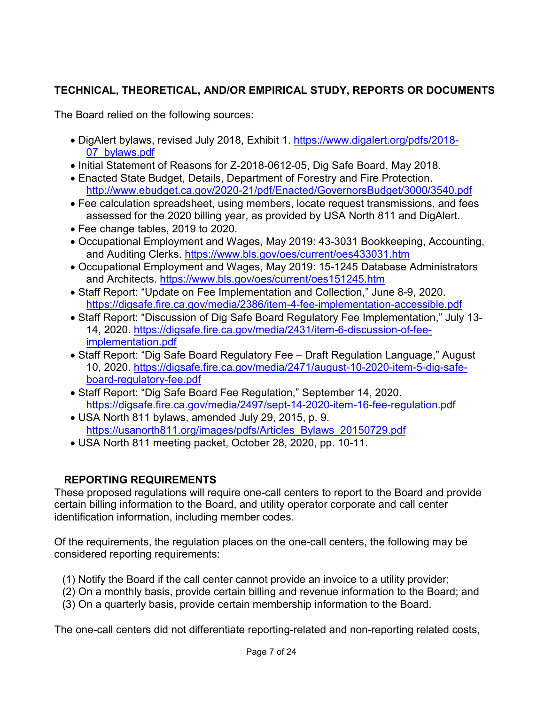# **TECHNICAL, THEORETICAL, AND/OR EMPIRICAL STUDY, REPORTS OR DOCUMENTS**

The Board relied on the following sources:

- DigAlert bylaws, revised July 2018, Exhibit 1. [https://www.digalert.org/pdfs/2018-](https://www.digalert.org/pdfs/2018-07_bylaws.pdf) [07\\_bylaws.pdf](https://www.digalert.org/pdfs/2018-07_bylaws.pdf)
- Initial Statement of Reasons for Z-2018-0612-05, Dig Safe Board, May 2018.
- Enacted State Budget, Details, Department of Forestry and Fire Protection. <http://www.ebudget.ca.gov/2020-21/pdf/Enacted/GovernorsBudget/3000/3540.pdf>
- Fee calculation spreadsheet, using members, locate request transmissions, and fees assessed for the 2020 billing year, as provided by USA North 811 and DigAlert.
- Fee change tables, 2019 to 2020.
- Occupational Employment and Wages, May 2019: 43-3031 Bookkeeping, Accounting, and Auditing Clerks.<https://www.bls.gov/oes/current/oes433031.htm>
- Occupational Employment and Wages, May 2019: 15-1245 Database Administrators and Architects.<https://www.bls.gov/oes/current/oes151245.htm>
- Staff Report: "Update on Fee Implementation and Collection," June 8-9, 2020. <https://digsafe.fire.ca.gov/media/2386/item-4-fee-implementation-accessible.pdf>
- Staff Report: "Discussion of Dig Safe Board Regulatory Fee Implementation," July 13- 14, 2020. [https://digsafe.fire.ca.gov/media/2431/item-6-discussion-of-fee](https://digsafe.fire.ca.gov/media/2431/item-6-discussion-of-fee-implementation.pdf)[implementation.pdf](https://digsafe.fire.ca.gov/media/2431/item-6-discussion-of-fee-implementation.pdf)
- Staff Report: "Dig Safe Board Regulatory Fee Draft Regulation Language," August 10, 2020. [https://digsafe.fire.ca.gov/media/2471/august-10-2020-item-5-dig-safe](https://digsafe.fire.ca.gov/media/2471/august-10-2020-item-5-dig-safe-board-regulatory-fee.pdf)[board-regulatory-fee.pdf](https://digsafe.fire.ca.gov/media/2471/august-10-2020-item-5-dig-safe-board-regulatory-fee.pdf)
- Staff Report: "Dig Safe Board Fee Regulation," September 14, 2020. <https://digsafe.fire.ca.gov/media/2497/sept-14-2020-item-16-fee-regulation.pdf>
- USA North 811 bylaws, amended July 29, 2015, p. 9. [https://usanorth811.org/images/pdfs/Articles\\_Bylaws\\_20150729.pdf](https://usanorth811.org/images/pdfs/Articles_Bylaws_20150729.pdf)
- USA North 811 meeting packet, October 28, 2020, pp. 10-11.

# **REPORTING REQUIREMENTS**

These proposed regulations will require one-call centers to report to the Board and provide certain billing information to the Board, and utility operator corporate and call center identification information, including member codes.

Of the requirements, the regulation places on the one-call centers, the following may be considered reporting requirements:

- (1) Notify the Board if the call center cannot provide an invoice to a utility provider;
- (2) On a monthly basis, provide certain billing and revenue information to the Board; and
- (3) On a quarterly basis, provide certain membership information to the Board.

The one-call centers did not differentiate reporting-related and non-reporting related costs,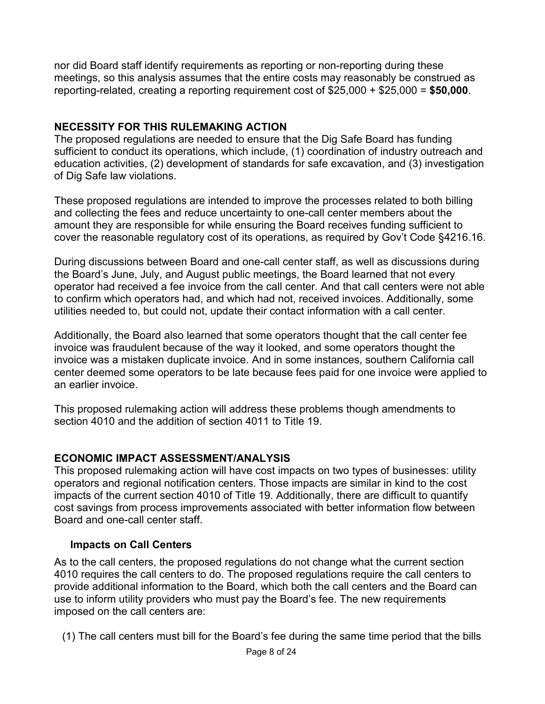nor did Board staff identify requirements as reporting or non-reporting during these meetings, so this analysis assumes that the entire costs may reasonably be construed as reporting-related, creating a reporting requirement cost of \$25,000 + \$25,000 = **\$50,000**.

## **NECESSITY FOR THIS RULEMAKING ACTION**

The proposed regulations are needed to ensure that the Dig Safe Board has funding sufficient to conduct its operations, which include, (1) coordination of industry outreach and education activities, (2) development of standards for safe excavation, and (3) investigation of Dig Safe law violations.

These proposed regulations are intended to improve the processes related to both billing and collecting the fees and reduce uncertainty to one-call center members about the amount they are responsible for while ensuring the Board receives funding sufficient to cover the reasonable regulatory cost of its operations, as required by Gov't Code §4216.16.

During discussions between Board and one-call center staff, as well as discussions during the Board's June, July, and August public meetings, the Board learned that not every operator had received a fee invoice from the call center. And that call centers were not able to confirm which operators had, and which had not, received invoices. Additionally, some utilities needed to, but could not, update their contact information with a call center.

Additionally, the Board also learned that some operators thought that the call center fee invoice was fraudulent because of the way it looked, and some operators thought the invoice was a mistaken duplicate invoice. And in some instances, southern California call center deemed some operators to be late because fees paid for one invoice were applied to an earlier invoice.

This proposed rulemaking action will address these problems though amendments to section 4010 and the addition of section 4011 to Title 19.

# **ECONOMIC IMPACT ASSESSMENT/ANALYSIS**

This proposed rulemaking action will have cost impacts on two types of businesses: utility operators and regional notification centers. Those impacts are similar in kind to the cost impacts of the current section 4010 of Title 19. Additionally, there are difficult to quantify cost savings from process improvements associated with better information flow between Board and one-call center staff.

## **Impacts on Call Centers**

As to the call centers, the proposed regulations do not change what the current section 4010 requires the call centers to do. The proposed regulations require the call centers to provide additional information to the Board, which both the call centers and the Board can use to inform utility providers who must pay the Board's fee. The new requirements imposed on the call centers are:

(1) The call centers must bill for the Board's fee during the same time period that the bills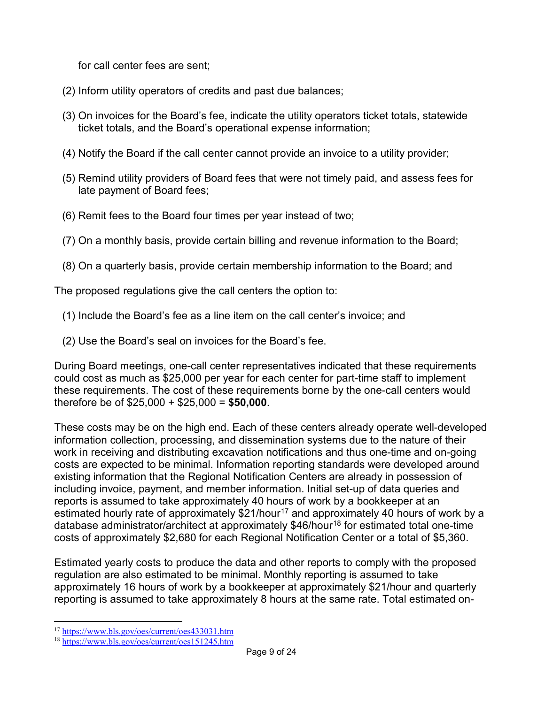for call center fees are sent;

- (2) Inform utility operators of credits and past due balances;
- (3) On invoices for the Board's fee, indicate the utility operators ticket totals, statewide ticket totals, and the Board's operational expense information;
- (4) Notify the Board if the call center cannot provide an invoice to a utility provider;
- (5) Remind utility providers of Board fees that were not timely paid, and assess fees for late payment of Board fees;
- (6) Remit fees to the Board four times per year instead of two;
- (7) On a monthly basis, provide certain billing and revenue information to the Board;
- (8) On a quarterly basis, provide certain membership information to the Board; and

The proposed regulations give the call centers the option to:

- (1) Include the Board's fee as a line item on the call center's invoice; and
- (2) Use the Board's seal on invoices for the Board's fee.

During Board meetings, one-call center representatives indicated that these requirements could cost as much as \$25,000 per year for each center for part-time staff to implement these requirements. The cost of these requirements borne by the one-call centers would therefore be of \$25,000 + \$25,000 = **\$50,000**.

These costs may be on the high end. Each of these centers already operate well-developed information collection, processing, and dissemination systems due to the nature of their work in receiving and distributing excavation notifications and thus one-time and on-going costs are expected to be minimal. Information reporting standards were developed around existing information that the Regional Notification Centers are already in possession of including invoice, payment, and member information. Initial set-up of data queries and reports is assumed to take approximately 40 hours of work by a bookkeeper at an estimated hourly rate of approximately  $$21/hour<sup>17</sup>$  $$21/hour<sup>17</sup>$  $$21/hour<sup>17</sup>$  and approximately 40 hours of work by a database administrator/architect at approximately \$46/hour<sup>[18](#page-8-1)</sup> for estimated total one-time costs of approximately \$2,680 for each Regional Notification Center or a total of \$5,360.

Estimated yearly costs to produce the data and other reports to comply with the proposed regulation are also estimated to be minimal. Monthly reporting is assumed to take approximately 16 hours of work by a bookkeeper at approximately \$21/hour and quarterly reporting is assumed to take approximately 8 hours at the same rate. Total estimated on-

 $\overline{a}$ <sup>17</sup> <https://www.bls.gov/oes/current/oes433031.htm>

<span id="page-8-1"></span><span id="page-8-0"></span><sup>18</sup> <https://www.bls.gov/oes/current/oes151245.htm>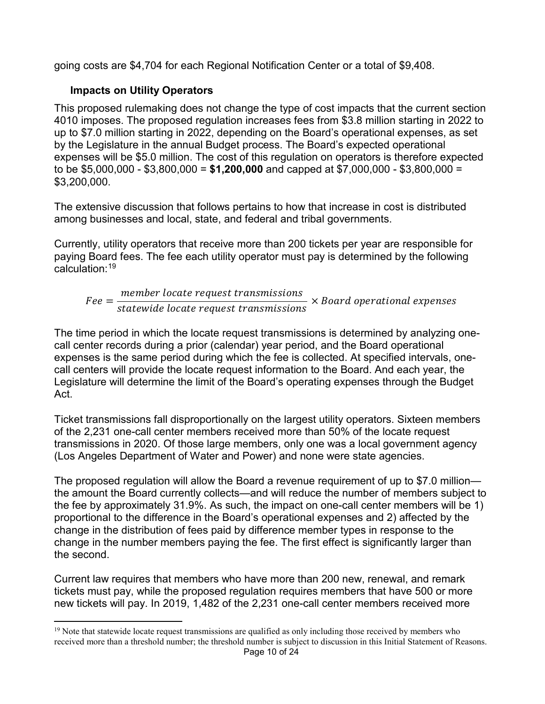going costs are \$4,704 for each Regional Notification Center or a total of \$9,408.

# **Impacts on Utility Operators**

This proposed rulemaking does not change the type of cost impacts that the current section 4010 imposes. The proposed regulation increases fees from \$3.8 million starting in 2022 to up to \$7.0 million starting in 2022, depending on the Board's operational expenses, as set by the Legislature in the annual Budget process. The Board's expected operational expenses will be \$5.0 million. The cost of this regulation on operators is therefore expected to be \$5,000,000 - \$3,800,000 = **\$1,200,000** and capped at \$7,000,000 - \$3,800,000 = \$3,200,000.

The extensive discussion that follows pertains to how that increase in cost is distributed among businesses and local, state, and federal and tribal governments.

Currently, utility operators that receive more than 200 tickets per year are responsible for paying Board fees. The fee each utility operator must pay is determined by the following calculation<sup>-[19](#page-9-0)</sup>

$$
Fee = \frac{member \ locate \ request \ transmissions}{statewide \ locate \ request \ transmissions} \times Board \ operational \ expenses
$$

The time period in which the locate request transmissions is determined by analyzing onecall center records during a prior (calendar) year period, and the Board operational expenses is the same period during which the fee is collected. At specified intervals, onecall centers will provide the locate request information to the Board. And each year, the Legislature will determine the limit of the Board's operating expenses through the Budget Act.

Ticket transmissions fall disproportionally on the largest utility operators. Sixteen members of the 2,231 one-call center members received more than 50% of the locate request transmissions in 2020. Of those large members, only one was a local government agency (Los Angeles Department of Water and Power) and none were state agencies.

The proposed regulation will allow the Board a revenue requirement of up to \$7.0 million the amount the Board currently collects—and will reduce the number of members subject to the fee by approximately 31.9%. As such, the impact on one-call center members will be 1) proportional to the difference in the Board's operational expenses and 2) affected by the change in the distribution of fees paid by difference member types in response to the change in the number members paying the fee. The first effect is significantly larger than the second.

Current law requires that members who have more than 200 new, renewal, and remark tickets must pay, while the proposed regulation requires members that have 500 or more new tickets will pay. In 2019, 1,482 of the 2,231 one-call center members received more

<span id="page-9-0"></span> $\overline{a}$  $19$  Note that statewide locate request transmissions are qualified as only including those received by members who received more than a threshold number; the threshold number is subject to discussion in this Initial Statement of Reasons.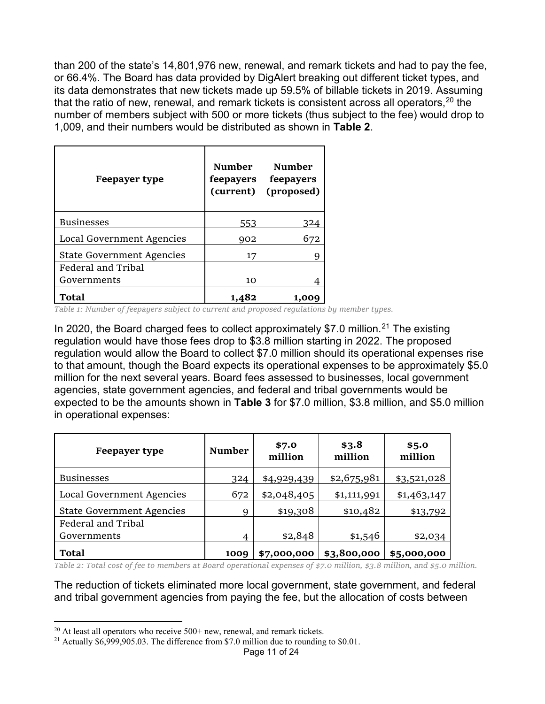than 200 of the state's 14,801,976 new, renewal, and remark tickets and had to pay the fee, or 66.4%. The Board has data provided by DigAlert breaking out different ticket types, and its data demonstrates that new tickets made up 59.5% of billable tickets in 2019. Assuming that the ratio of new, renewal, and remark tickets is consistent across all operators,  $20$  the number of members subject with 500 or more tickets (thus subject to the fee) would drop to 1,009, and their numbers would be distributed as shown in **Table 2**.

| Feepayer type                    | <b>Number</b><br>feepayers<br>(current) | <b>Number</b><br>feepayers<br>(proposed) |
|----------------------------------|-----------------------------------------|------------------------------------------|
| <b>Businesses</b>                | 553                                     | 324                                      |
| Local Government Agencies        | 902                                     | 672                                      |
| <b>State Government Agencies</b> | 17                                      | 9                                        |
| Federal and Tribal               |                                         |                                          |
| Governments                      | 10                                      | 4                                        |
| Total                            | 1,482                                   | 1,009                                    |

*Table 1: Number of feepayers subject to current and proposed regulations by member types.*

In 2020, the Board charged fees to collect approximately \$7.0 million.<sup>[21](#page-10-2)</sup> The existing regulation would have those fees drop to \$3.8 million starting in 2022. The proposed regulation would allow the Board to collect \$7.0 million should its operational expenses rise to that amount, though the Board expects its operational expenses to be approximately \$5.0 million for the next several years. Board fees assessed to businesses, local government agencies, state government agencies, and federal and tribal governments would be expected to be the amounts shown in **[Table 3](#page-10-0)** for \$7.0 million, \$3.8 million, and \$5.0 million in operational expenses:

| <b>Feepayer type</b>             | <b>Number</b> | \$7.0<br>million | \$3.8<br>million | \$5.0<br>million |
|----------------------------------|---------------|------------------|------------------|------------------|
| <b>Businesses</b>                | 324           | \$4,929,439      | \$2,675,981      | \$3,521,028      |
| Local Government Agencies        | 672           | \$2,048,405      | \$1,111,991      | \$1,463,147      |
| <b>State Government Agencies</b> | 9             | \$19,308         | \$10,482         | \$13,792         |
| Federal and Tribal               |               |                  |                  |                  |
| Governments                      | 4             | \$2,848          | \$1,546          | \$2,034          |
| <b>Total</b>                     | 1009          | \$7,000,000      | \$3,800,000      | \$5,000,000      |

<span id="page-10-0"></span>*Table 2: Total cost of fee to members at Board operational expenses of \$7.0 million, \$3.8 million, and \$5.0 million.*

The reduction of tickets eliminated more local government, state government, and federal and tribal government agencies from paying the fee, but the allocation of costs between

 $\overline{a}$ 

 $20$  At least all operators who receive  $500+$  new, renewal, and remark tickets.

<span id="page-10-2"></span><span id="page-10-1"></span><sup>&</sup>lt;sup>21</sup> Actually \$6,999,905.03. The difference from \$7.0 million due to rounding to \$0.01.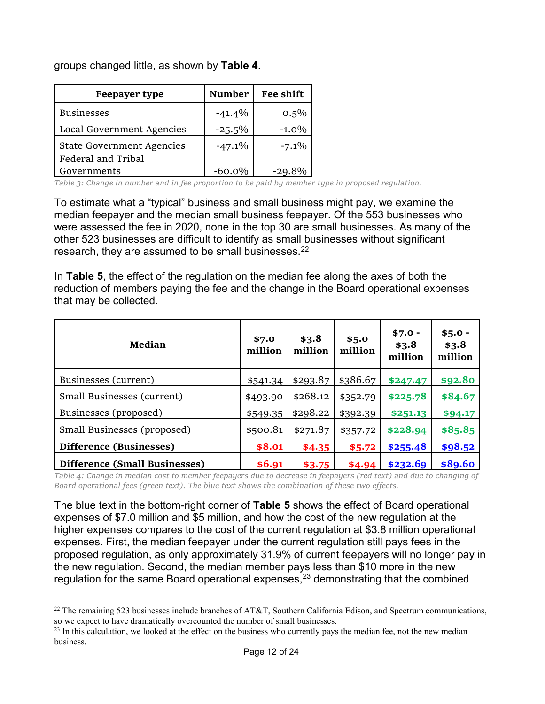groups changed little, as shown by **[Table 4](#page-11-0)**.

 $\overline{a}$ 

| <b>Feepayer type</b>             | <b>Number</b> | Fee shift |
|----------------------------------|---------------|-----------|
| <b>Businesses</b>                | $-41.4%$      | $0.5\%$   |
| Local Government Agencies        | $-25.5%$      | $-1.0\%$  |
| <b>State Government Agencies</b> | $-47.1\%$     | $-7.1\%$  |
| Federal and Tribal               |               |           |
| Governments                      | $-60.0\%$     | $-29.8%$  |

<span id="page-11-0"></span>*Table 3: Change in number and in fee proportion to be paid by member type in proposed regulation.*

To estimate what a "typical" business and small business might pay, we examine the median feepayer and the median small business feepayer. Of the 553 businesses who were assessed the fee in 2020, none in the top 30 are small businesses. As many of the other 523 businesses are difficult to identify as small businesses without significant research, they are assumed to be small businesses.<sup>[22](#page-11-3)</sup>

In **[Table 5](#page-11-1)**, the effect of the regulation on the median fee along the axes of both the reduction of members paying the fee and the change in the Board operational expenses that may be collected.

<span id="page-11-1"></span>

| Median                        | \$7.0<br>million | \$3.8<br>million | \$5.0<br>million | $$7.0 -$<br>\$3.8<br>million | $$5.0 -$<br>\$3.8<br>million |
|-------------------------------|------------------|------------------|------------------|------------------------------|------------------------------|
| Businesses (current)          | \$541.34         | \$293.87         | \$386.67         | \$247.47                     | \$92.80                      |
| Small Businesses (current)    | \$493.90         | \$268.12         | \$352.79         | \$225.78                     | \$84.67                      |
| Businesses (proposed)         | \$549.35         | \$298.22         | \$392.39         | \$251.13                     | \$94.17                      |
| Small Businesses (proposed)   | \$500.81         | \$271.87         | \$357.72         | \$228.94                     | \$85.85                      |
| Difference (Businesses)       | \$8.01           | \$4.35           | \$5.72           | \$255.48                     | \$98.52                      |
| Difference (Small Businesses) | \$6.91           | \$3.75           | \$4.94           | \$232.69                     | \$89.60                      |

<span id="page-11-2"></span>*Table 4: Change in median cost to member feepayers due to decrease in feepayers (red text) and due to changing of Board operational fees (green text). The blue text shows the combination of these two effects.*

The blue text in the bottom-right corner of **[Table 5](#page-11-2)** shows the effect of Board operational expenses of \$7.0 million and \$5 million, and how the cost of the new regulation at the higher expenses compares to the cost of the current regulation at \$3.8 million operational expenses. First, the median feepayer under the current regulation still pays fees in the proposed regulation, as only approximately 31.9% of current feepayers will no longer pay in the new regulation. Second, the median member pays less than \$10 more in the new regulation for the same Board operational expenses, $^{23}$  $^{23}$  $^{23}$  demonstrating that the combined

<span id="page-11-3"></span> $^{22}$  The remaining 523 businesses include branches of AT&T, Southern California Edison, and Spectrum communications, so we expect to have dramatically overcounted the number of small businesses.

<span id="page-11-4"></span><sup>&</sup>lt;sup>23</sup> In this calculation, we looked at the effect on the business who currently pays the median fee, not the new median business.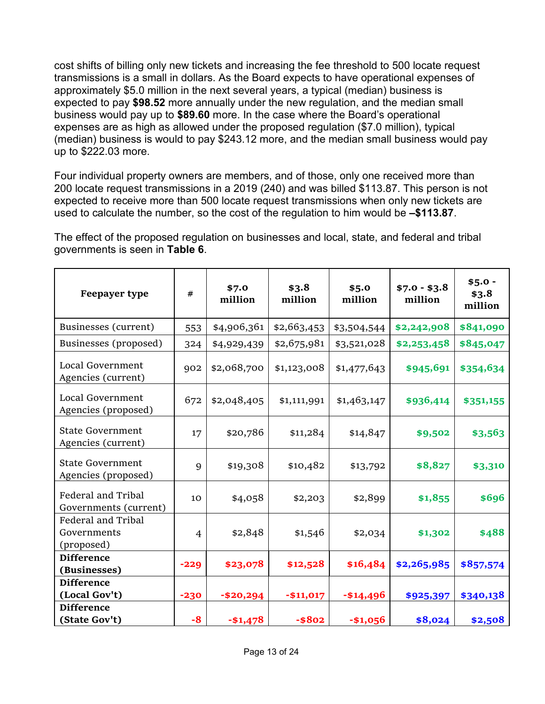cost shifts of billing only new tickets and increasing the fee threshold to 500 locate request transmissions is a small in dollars. As the Board expects to have operational expenses of approximately \$5.0 million in the next several years, a typical (median) business is expected to pay **\$98.52** more annually under the new regulation, and the median small business would pay up to **\$89.60** more. In the case where the Board's operational expenses are as high as allowed under the proposed regulation (\$7.0 million), typical (median) business is would to pay \$243.12 more, and the median small business would pay up to \$222.03 more.

Four individual property owners are members, and of those, only one received more than 200 locate request transmissions in a 2019 (240) and was billed \$113.87. This person is not expected to receive more than 500 locate request transmissions when only new tickets are used to calculate the number, so the cost of the regulation to him would be **–\$113.87**.

The effect of the proposed regulation on businesses and local, state, and federal and tribal governments is seen in **[Table 6](#page-12-0)**.

<span id="page-12-0"></span>

| Feepayer type                                   | $^{\#}$ | \$7.0<br>million | \$3.8<br>million | \$5.0<br>million | $$7.0 - $3.8$<br>million | $$5.0 -$<br>\$3.8<br>million |
|-------------------------------------------------|---------|------------------|------------------|------------------|--------------------------|------------------------------|
| Businesses (current)                            | 553     | \$4,906,361      | \$2,663,453      | \$3,504,544      | \$2,242,908              | \$841,090                    |
| Businesses (proposed)                           | 324     | \$4,929,439      | \$2,675,981      | \$3,521,028      | \$2,253,458              | \$845,047                    |
| Local Government<br>Agencies (current)          | 902     | \$2,068,700      | \$1,123,008      | \$1,477,643      | \$945,691                | \$354,634                    |
| Local Government<br>Agencies (proposed)         | 672     | \$2,048,405      | \$1,111,991      | \$1,463,147      | \$936,414                | \$351,155                    |
| <b>State Government</b><br>Agencies (current)   | 17      | \$20,786         | \$11,284         | \$14,847         | \$9,502                  | \$3,563                      |
| <b>State Government</b><br>Agencies (proposed)  | 9       | \$19,308         | \$10,482         | \$13,792         | \$8,827                  | \$3,310                      |
| Federal and Tribal<br>Governments (current)     | 10      | \$4,058          | \$2,203          | \$2,899          | \$1,855                  | \$696                        |
| Federal and Tribal<br>Governments<br>(proposed) | 4       | \$2,848          | \$1,546          | \$2,034          | \$1,302                  | \$488                        |
| <b>Difference</b><br>(Businesses)               | $-229$  | \$23,078         | \$12,528         | \$16,484         | \$2,265,985              | \$857,574                    |
| <b>Difference</b><br>(Local Gov't)              | $-230$  | $- $20,294$      | $-$11,017$       | $- $14,496$      | \$925,397                | \$340,138                    |
| <b>Difference</b><br>(State Gov't)              | -8      | $-$1,478$        | $-$ \$802        | $-$1,056$        | \$8,024                  | \$2,508                      |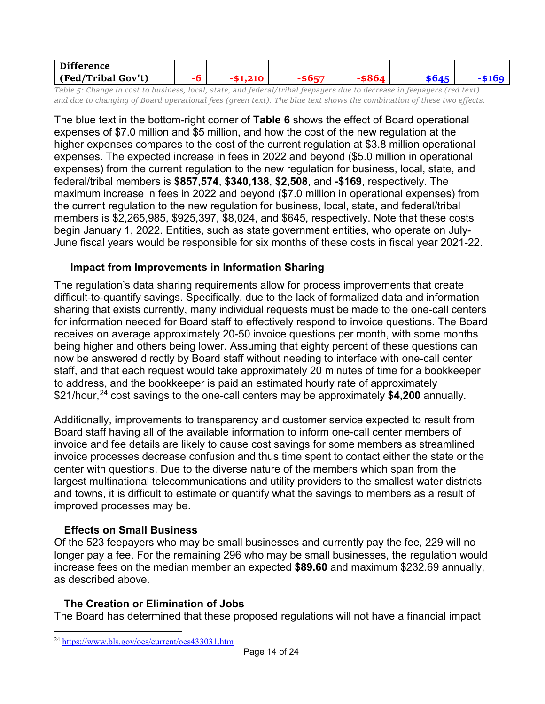| ∽ | Difference         |  |  |  |
|---|--------------------|--|--|--|
|   | (Fed/Tribal Gov't) |  |  |  |

<span id="page-13-0"></span>*Table 5: Change in cost to business, local, state, and federal/tribal feepayers due to decrease in feepayers (red text) and due to changing of Board operational fees (green text). The blue text shows the combination of these two effects.*

The blue text in the bottom-right corner of **[Table 6](#page-13-0)** shows the effect of Board operational expenses of \$7.0 million and \$5 million, and how the cost of the new regulation at the higher expenses compares to the cost of the current regulation at \$3.8 million operational expenses. The expected increase in fees in 2022 and beyond (\$5.0 million in operational expenses) from the current regulation to the new regulation for business, local, state, and federal/tribal members is **\$857,574**, **\$340,138**, **\$2,508**, and **-\$169**, respectively. The maximum increase in fees in 2022 and beyond (\$7.0 million in operational expenses) from the current regulation to the new regulation for business, local, state, and federal/tribal members is \$2,265,985, \$925,397, \$8,024, and \$645, respectively. Note that these costs begin January 1, 2022. Entities, such as state government entities, who operate on July-June fiscal years would be responsible for six months of these costs in fiscal year 2021-22.

## **Impact from Improvements in Information Sharing**

The regulation's data sharing requirements allow for process improvements that create difficult-to-quantify savings. Specifically, due to the lack of formalized data and information sharing that exists currently, many individual requests must be made to the one-call centers for information needed for Board staff to effectively respond to invoice questions. The Board receives on average approximately 20-50 invoice questions per month, with some months being higher and others being lower. Assuming that eighty percent of these questions can now be answered directly by Board staff without needing to interface with one-call center staff, and that each request would take approximately 20 minutes of time for a bookkeeper to address, and the bookkeeper is paid an estimated hourly rate of approximately \$21/hour,[24](#page-13-1) cost savings to the one-call centers may be approximately **\$4,200** annually.

Additionally, improvements to transparency and customer service expected to result from Board staff having all of the available information to inform one-call center members of invoice and fee details are likely to cause cost savings for some members as streamlined invoice processes decrease confusion and thus time spent to contact either the state or the center with questions. Due to the diverse nature of the members which span from the largest multinational telecommunications and utility providers to the smallest water districts and towns, it is difficult to estimate or quantify what the savings to members as a result of improved processes may be.

#### **Effects on Small Business**

Of the 523 feepayers who may be small businesses and currently pay the fee, 229 will no longer pay a fee. For the remaining 296 who may be small businesses, the regulation would increase fees on the median member an expected **\$89.60** and maximum \$232.69 annually, as described above.

#### **The Creation or Elimination of Jobs**

The Board has determined that these proposed regulations will not have a financial impact

<span id="page-13-1"></span> $\overline{a}$ <sup>24</sup> <https://www.bls.gov/oes/current/oes433031.htm>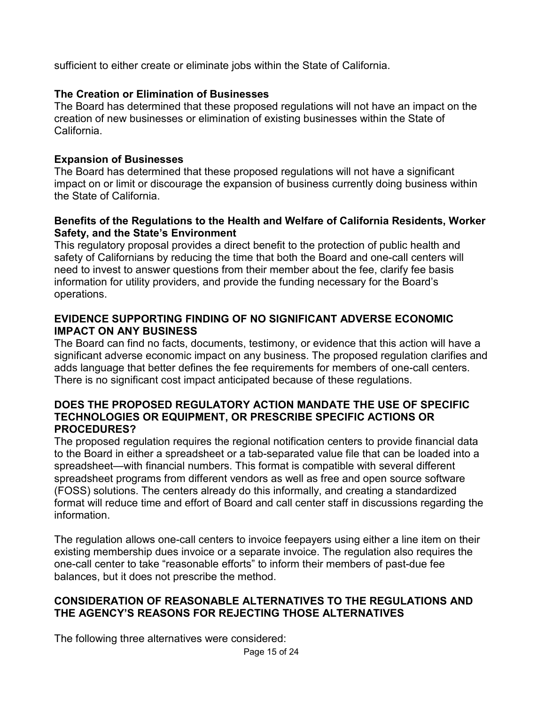sufficient to either create or eliminate jobs within the State of California.

## **The Creation or Elimination of Businesses**

The Board has determined that these proposed regulations will not have an impact on the creation of new businesses or elimination of existing businesses within the State of California.

### **Expansion of Businesses**

The Board has determined that these proposed regulations will not have a significant impact on or limit or discourage the expansion of business currently doing business within the State of California.

#### **Benefits of the Regulations to the Health and Welfare of California Residents, Worker Safety, and the State's Environment**

This regulatory proposal provides a direct benefit to the protection of public health and safety of Californians by reducing the time that both the Board and one-call centers will need to invest to answer questions from their member about the fee, clarify fee basis information for utility providers, and provide the funding necessary for the Board's operations.

## **EVIDENCE SUPPORTING FINDING OF NO SIGNIFICANT ADVERSE ECONOMIC IMPACT ON ANY BUSINESS**

The Board can find no facts, documents, testimony, or evidence that this action will have a significant adverse economic impact on any business. The proposed regulation clarifies and adds language that better defines the fee requirements for members of one-call centers. There is no significant cost impact anticipated because of these regulations.

### **DOES THE PROPOSED REGULATORY ACTION MANDATE THE USE OF SPECIFIC TECHNOLOGIES OR EQUIPMENT, OR PRESCRIBE SPECIFIC ACTIONS OR PROCEDURES?**

The proposed regulation requires the regional notification centers to provide financial data to the Board in either a spreadsheet or a tab-separated value file that can be loaded into a spreadsheet—with financial numbers. This format is compatible with several different spreadsheet programs from different vendors as well as free and open source software (FOSS) solutions. The centers already do this informally, and creating a standardized format will reduce time and effort of Board and call center staff in discussions regarding the information.

The regulation allows one-call centers to invoice feepayers using either a line item on their existing membership dues invoice or a separate invoice. The regulation also requires the one-call center to take "reasonable efforts" to inform their members of past-due fee balances, but it does not prescribe the method.

## **CONSIDERATION OF REASONABLE ALTERNATIVES TO THE REGULATIONS AND THE AGENCY'S REASONS FOR REJECTING THOSE ALTERNATIVES**

The following three alternatives were considered: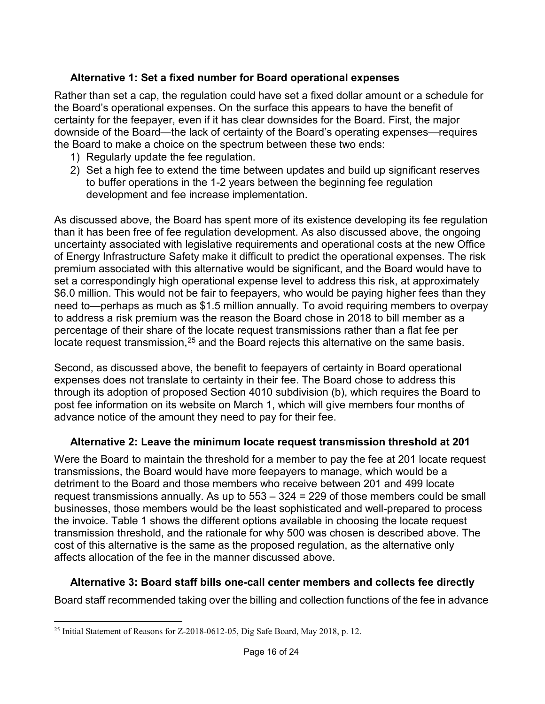# **Alternative 1: Set a fixed number for Board operational expenses**

Rather than set a cap, the regulation could have set a fixed dollar amount or a schedule for the Board's operational expenses. On the surface this appears to have the benefit of certainty for the feepayer, even if it has clear downsides for the Board. First, the major downside of the Board—the lack of certainty of the Board's operating expenses—requires the Board to make a choice on the spectrum between these two ends:

- 1) Regularly update the fee regulation.
- 2) Set a high fee to extend the time between updates and build up significant reserves to buffer operations in the 1-2 years between the beginning fee regulation development and fee increase implementation.

As discussed above, the Board has spent more of its existence developing its fee regulation than it has been free of fee regulation development. As also discussed above, the ongoing uncertainty associated with legislative requirements and operational costs at the new Office of Energy Infrastructure Safety make it difficult to predict the operational expenses. The risk premium associated with this alternative would be significant, and the Board would have to set a correspondingly high operational expense level to address this risk, at approximately \$6.0 million. This would not be fair to feepayers, who would be paying higher fees than they need to—perhaps as much as \$1.5 million annually. To avoid requiring members to overpay to address a risk premium was the reason the Board chose in 2018 to bill member as a percentage of their share of the locate request transmissions rather than a flat fee per locate request transmission,<sup>[25](#page-15-0)</sup> and the Board rejects this alternative on the same basis.

Second, as discussed above, the benefit to feepayers of certainty in Board operational expenses does not translate to certainty in their fee. The Board chose to address this through its adoption of proposed Section 4010 subdivision (b), which requires the Board to post fee information on its website on March 1, which will give members four months of advance notice of the amount they need to pay for their fee.

## **Alternative 2: Leave the minimum locate request transmission threshold at 201**

Were the Board to maintain the threshold for a member to pay the fee at 201 locate request transmissions, the Board would have more feepayers to manage, which would be a detriment to the Board and those members who receive between 201 and 499 locate request transmissions annually. As up to 553 – 324 = 229 of those members could be small businesses, those members would be the least sophisticated and well-prepared to process the invoice. [Table 1](#page-17-0) shows the different options available in choosing the locate request transmission threshold, and the rationale for why 500 was chosen is described above. The cost of this alternative is the same as the proposed regulation, as the alternative only affects allocation of the fee in the manner discussed above.

## **Alternative 3: Board staff bills one-call center members and collects fee directly**

Board staff recommended taking over the billing and collection functions of the fee in advance

<span id="page-15-0"></span> $\overline{a}$ <sup>25</sup> Initial Statement of Reasons for Z-2018-0612-05, Dig Safe Board, May 2018, p. 12.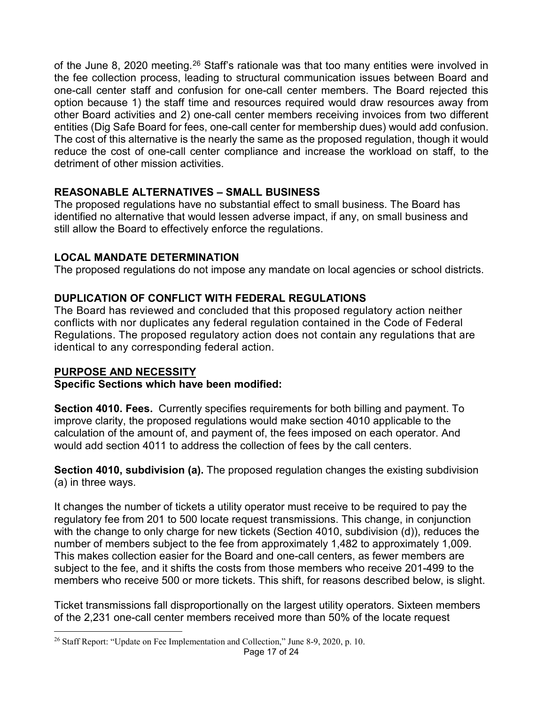of the June 8, 2020 meeting.<sup>[26](#page-16-0)</sup> Staff's rationale was that too many entities were involved in the fee collection process, leading to structural communication issues between Board and one-call center staff and confusion for one-call center members. The Board rejected this option because 1) the staff time and resources required would draw resources away from other Board activities and 2) one-call center members receiving invoices from two different entities (Dig Safe Board for fees, one-call center for membership dues) would add confusion. The cost of this alternative is the nearly the same as the proposed regulation, though it would reduce the cost of one-call center compliance and increase the workload on staff, to the detriment of other mission activities.

# **REASONABLE ALTERNATIVES – SMALL BUSINESS**

The proposed regulations have no substantial effect to small business. The Board has identified no alternative that would lessen adverse impact, if any, on small business and still allow the Board to effectively enforce the regulations.

# **LOCAL MANDATE DETERMINATION**

The proposed regulations do not impose any mandate on local agencies or school districts.

# **DUPLICATION OF CONFLICT WITH FEDERAL REGULATIONS**

The Board has reviewed and concluded that this proposed regulatory action neither conflicts with nor duplicates any federal regulation contained in the Code of Federal Regulations. The proposed regulatory action does not contain any regulations that are identical to any corresponding federal action.

# **PURPOSE AND NECESSITY**

## **Specific Sections which have been modified:**

**Section 4010. Fees.** Currently specifies requirements for both billing and payment. To improve clarity, the proposed regulations would make section 4010 applicable to the calculation of the amount of, and payment of, the fees imposed on each operator. And would add section 4011 to address the collection of fees by the call centers.

**Section 4010, subdivision (a).** The proposed regulation changes the existing subdivision (a) in three ways.

It changes the number of tickets a utility operator must receive to be required to pay the regulatory fee from 201 to 500 locate request transmissions. This change, in conjunction with the change to only charge for new tickets (Section 4010, subdivision (d)), reduces the number of members subject to the fee from approximately 1,482 to approximately 1,009. This makes collection easier for the Board and one-call centers, as fewer members are subject to the fee, and it shifts the costs from those members who receive 201-499 to the members who receive 500 or more tickets. This shift, for reasons described below, is slight.

Ticket transmissions fall disproportionally on the largest utility operators. Sixteen members of the 2,231 one-call center members received more than 50% of the locate request

<span id="page-16-0"></span> $\overline{a}$ <sup>26</sup> Staff Report: "Update on Fee Implementation and Collection," June 8-9, 2020, p. 10.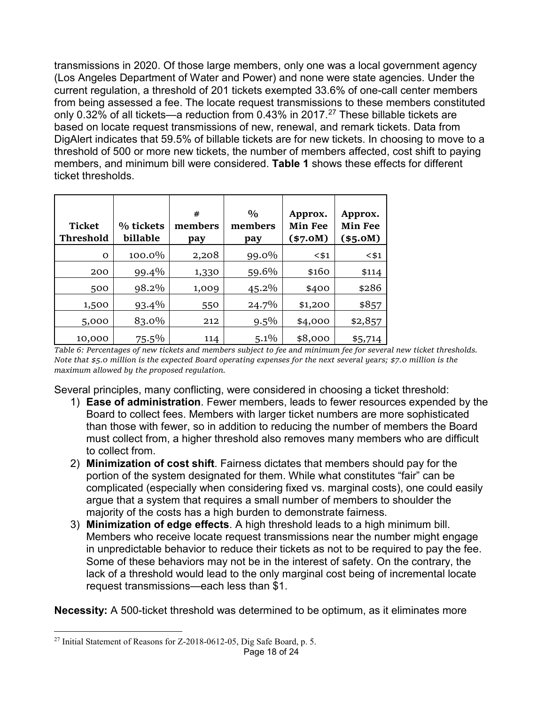transmissions in 2020. Of those large members, only one was a local government agency (Los Angeles Department of Water and Power) and none were state agencies. Under the current regulation, a threshold of 201 tickets exempted 33.6% of one-call center members from being assessed a fee. The locate request transmissions to these members constituted only 0.32% of all tickets—a reduction from 0.43% in 2017.<sup>[27](#page-17-1)</sup> These billable tickets are based on locate request transmissions of new, renewal, and remark tickets. Data from DigAlert indicates that 59.5% of billable tickets are for new tickets. In choosing to move to a threshold of 500 or more new tickets, the number of members affected, cost shift to paying members, and minimum bill were considered. **[Table 1](#page-17-0)** shows these effects for different ticket thresholds.

| <b>Ticket</b><br>Threshold | % tickets<br>billable | #<br>members<br>pay | $\frac{0}{0}$<br>members<br>pay | Approx.<br><b>Min Fee</b><br>$(*7.0M)$ | Approx.<br><b>Min Fee</b><br>(\$5.0M) |
|----------------------------|-----------------------|---------------------|---------------------------------|----------------------------------------|---------------------------------------|
| $\Omega$                   | 100.0%                | 2,208               | 99.0%                           | $<$ \$1                                | $<$ \$1                               |
| 200                        | 99.4%                 | 1,330               | 59.6%                           | \$160                                  | \$114                                 |
| 500                        | 98.2%                 | 1,009               | 45.2%                           | \$400                                  | \$286                                 |
| 1,500                      | 93.4%                 | 550                 | 24.7%                           | \$1,200                                | \$857                                 |
| 5,000                      | 83.0%                 | 212                 | $9.5\%$                         | \$4,000                                | \$2,857                               |
| 10,000                     | $75.5\%$              | 114                 | $5.1\%$                         | \$8,000                                | \$5,714                               |

<span id="page-17-0"></span>*Table 6: Percentages of new tickets and members subject to fee and minimum fee for several new ticket thresholds. Note that \$5.0 million is the expected Board operating expenses for the next several years; \$7.0 million is the maximum allowed by the proposed regulation.*

Several principles, many conflicting, were considered in choosing a ticket threshold:

- 1) **Ease of administration**. Fewer members, leads to fewer resources expended by the Board to collect fees. Members with larger ticket numbers are more sophisticated than those with fewer, so in addition to reducing the number of members the Board must collect from, a higher threshold also removes many members who are difficult to collect from.
- 2) **Minimization of cost shift**. Fairness dictates that members should pay for the portion of the system designated for them. While what constitutes "fair" can be complicated (especially when considering fixed vs. marginal costs), one could easily argue that a system that requires a small number of members to shoulder the majority of the costs has a high burden to demonstrate fairness.
- 3) **Minimization of edge effects**. A high threshold leads to a high minimum bill. Members who receive locate request transmissions near the number might engage in unpredictable behavior to reduce their tickets as not to be required to pay the fee. Some of these behaviors may not be in the interest of safety. On the contrary, the lack of a threshold would lead to the only marginal cost being of incremental locate request transmissions—each less than \$1.

**Necessity:** A 500-ticket threshold was determined to be optimum, as it eliminates more

<span id="page-17-1"></span> $\overline{a}$  $^{27}$  Initial Statement of Reasons for Z-2018-0612-05, Dig Safe Board, p. 5.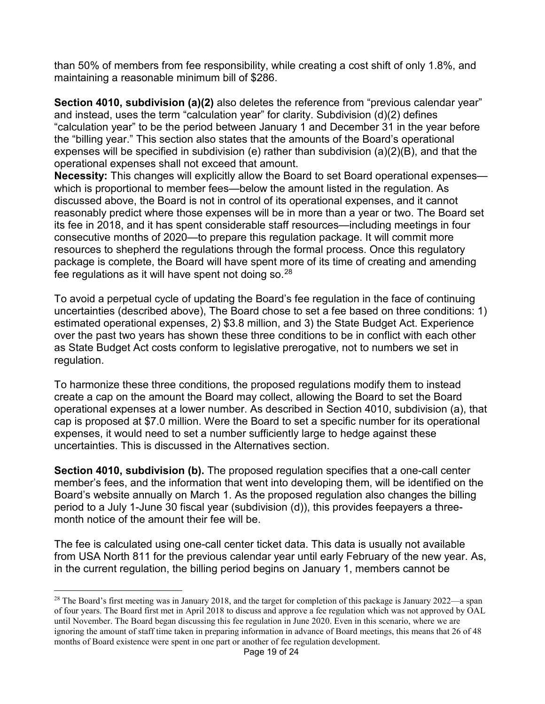than 50% of members from fee responsibility, while creating a cost shift of only 1.8%, and maintaining a reasonable minimum bill of \$286.

**Section 4010, subdivision (a)(2)** also deletes the reference from "previous calendar year" and instead, uses the term "calculation year" for clarity. Subdivision (d)(2) defines "calculation year" to be the period between January 1 and December 31 in the year before the "billing year." This section also states that the amounts of the Board's operational expenses will be specified in subdivision (e) rather than subdivision (a)(2)(B), and that the operational expenses shall not exceed that amount.

**Necessity:** This changes will explicitly allow the Board to set Board operational expenses which is proportional to member fees—below the amount listed in the regulation. As discussed above, the Board is not in control of its operational expenses, and it cannot reasonably predict where those expenses will be in more than a year or two. The Board set its fee in 2018, and it has spent considerable staff resources—including meetings in four consecutive months of 2020—to prepare this regulation package. It will commit more resources to shepherd the regulations through the formal process. Once this regulatory package is complete, the Board will have spent more of its time of creating and amending fee regulations as it will have spent not doing so.  $28$ 

To avoid a perpetual cycle of updating the Board's fee regulation in the face of continuing uncertainties (described above), The Board chose to set a fee based on three conditions: 1) estimated operational expenses, 2) \$3.8 million, and 3) the State Budget Act. Experience over the past two years has shown these three conditions to be in conflict with each other as State Budget Act costs conform to legislative prerogative, not to numbers we set in regulation.

To harmonize these three conditions, the proposed regulations modify them to instead create a cap on the amount the Board may collect, allowing the Board to set the Board operational expenses at a lower number. As described in Section 4010, subdivision (a), that cap is proposed at \$7.0 million. Were the Board to set a specific number for its operational expenses, it would need to set a number sufficiently large to hedge against these uncertainties. This is discussed in the Alternatives section.

**Section 4010, subdivision (b).** The proposed regulation specifies that a one-call center member's fees, and the information that went into developing them, will be identified on the Board's website annually on March 1. As the proposed regulation also changes the billing period to a July 1-June 30 fiscal year (subdivision (d)), this provides feepayers a threemonth notice of the amount their fee will be.

The fee is calculated using one-call center ticket data. This data is usually not available from USA North 811 for the previous calendar year until early February of the new year. As, in the current regulation, the billing period begins on January 1, members cannot be

<span id="page-18-0"></span> $\overline{a}$ <sup>28</sup> The Board's first meeting was in January 2018, and the target for completion of this package is January 2022—a span of four years. The Board first met in April 2018 to discuss and approve a fee regulation which was not approved by OAL until November. The Board began discussing this fee regulation in June 2020. Even in this scenario, where we are ignoring the amount of staff time taken in preparing information in advance of Board meetings, this means that 26 of 48 months of Board existence were spent in one part or another of fee regulation development.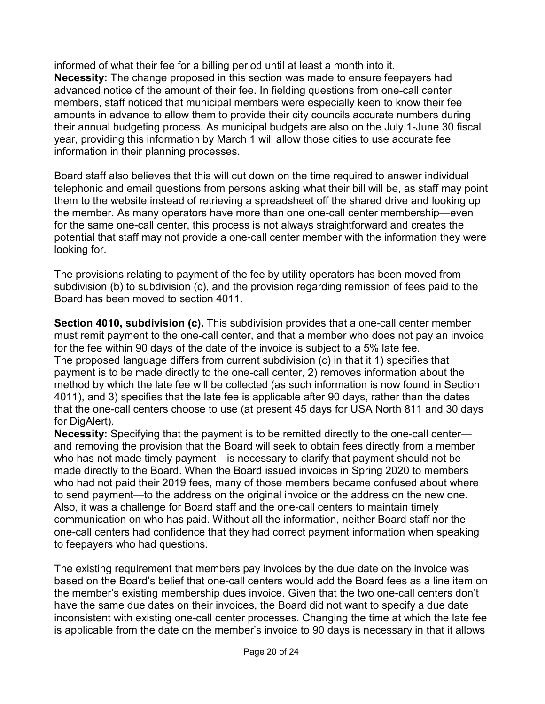informed of what their fee for a billing period until at least a month into it. **Necessity:** The change proposed in this section was made to ensure feepayers had advanced notice of the amount of their fee. In fielding questions from one-call center members, staff noticed that municipal members were especially keen to know their fee amounts in advance to allow them to provide their city councils accurate numbers during their annual budgeting process. As municipal budgets are also on the July 1-June 30 fiscal year, providing this information by March 1 will allow those cities to use accurate fee information in their planning processes.

Board staff also believes that this will cut down on the time required to answer individual telephonic and email questions from persons asking what their bill will be, as staff may point them to the website instead of retrieving a spreadsheet off the shared drive and looking up the member. As many operators have more than one one-call center membership—even for the same one-call center, this process is not always straightforward and creates the potential that staff may not provide a one-call center member with the information they were looking for.

The provisions relating to payment of the fee by utility operators has been moved from subdivision (b) to subdivision (c), and the provision regarding remission of fees paid to the Board has been moved to section 4011.

**Section 4010, subdivision (c).** This subdivision provides that a one-call center member must remit payment to the one-call center, and that a member who does not pay an invoice for the fee within 90 days of the date of the invoice is subject to a 5% late fee. The proposed language differs from current subdivision (c) in that it 1) specifies that payment is to be made directly to the one-call center, 2) removes information about the method by which the late fee will be collected (as such information is now found in Section 4011), and 3) specifies that the late fee is applicable after 90 days, rather than the dates that the one-call centers choose to use (at present 45 days for USA North 811 and 30 days for DigAlert).

**Necessity:** Specifying that the payment is to be remitted directly to the one-call center and removing the provision that the Board will seek to obtain fees directly from a member who has not made timely payment—is necessary to clarify that payment should not be made directly to the Board. When the Board issued invoices in Spring 2020 to members who had not paid their 2019 fees, many of those members became confused about where to send payment—to the address on the original invoice or the address on the new one. Also, it was a challenge for Board staff and the one-call centers to maintain timely communication on who has paid. Without all the information, neither Board staff nor the one-call centers had confidence that they had correct payment information when speaking to feepayers who had questions.

The existing requirement that members pay invoices by the due date on the invoice was based on the Board's belief that one-call centers would add the Board fees as a line item on the member's existing membership dues invoice. Given that the two one-call centers don't have the same due dates on their invoices, the Board did not want to specify a due date inconsistent with existing one-call center processes. Changing the time at which the late fee is applicable from the date on the member's invoice to 90 days is necessary in that it allows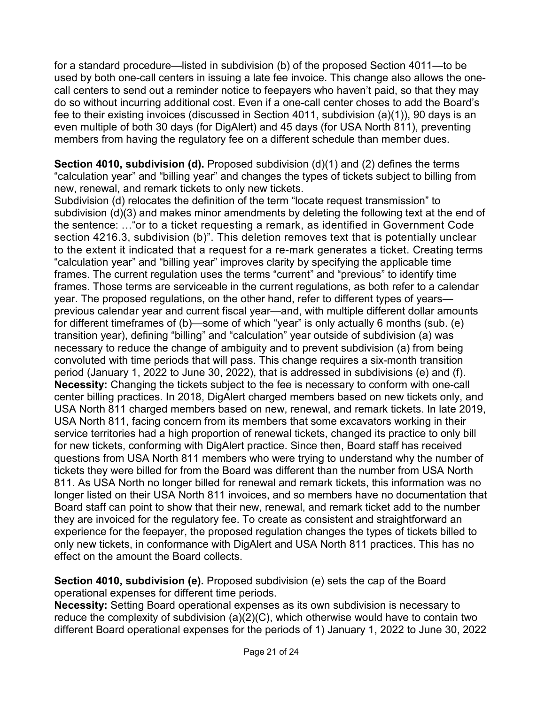for a standard procedure—listed in subdivision (b) of the proposed Section 4011—to be used by both one-call centers in issuing a late fee invoice. This change also allows the onecall centers to send out a reminder notice to feepayers who haven't paid, so that they may do so without incurring additional cost. Even if a one-call center choses to add the Board's fee to their existing invoices (discussed in Section 4011, subdivision (a)(1)), 90 days is an even multiple of both 30 days (for DigAlert) and 45 days (for USA North 811), preventing members from having the regulatory fee on a different schedule than member dues.

**Section 4010, subdivision (d).** Proposed subdivision (d)(1) and (2) defines the terms "calculation year" and "billing year" and changes the types of tickets subject to billing from new, renewal, and remark tickets to only new tickets.

Subdivision (d) relocates the definition of the term "locate request transmission" to subdivision (d)(3) and makes minor amendments by deleting the following text at the end of the sentence: …"or to a ticket requesting a remark, as identified in Government Code section 4216.3, subdivision (b)". This deletion removes text that is potentially unclear to the extent it indicated that a request for a re-mark generates a ticket. Creating terms "calculation year" and "billing year" improves clarity by specifying the applicable time frames. The current regulation uses the terms "current" and "previous" to identify time frames. Those terms are serviceable in the current regulations, as both refer to a calendar year. The proposed regulations, on the other hand, refer to different types of years previous calendar year and current fiscal year—and, with multiple different dollar amounts for different timeframes of (b)—some of which "year" is only actually 6 months (sub. (e) transition year), defining "billing" and "calculation" year outside of subdivision (a) was necessary to reduce the change of ambiguity and to prevent subdivision (a) from being convoluted with time periods that will pass. This change requires a six-month transition period (January 1, 2022 to June 30, 2022), that is addressed in subdivisions (e) and (f). **Necessity:** Changing the tickets subject to the fee is necessary to conform with one-call center billing practices. In 2018, DigAlert charged members based on new tickets only, and USA North 811 charged members based on new, renewal, and remark tickets. In late 2019, USA North 811, facing concern from its members that some excavators working in their service territories had a high proportion of renewal tickets, changed its practice to only bill for new tickets, conforming with DigAlert practice. Since then, Board staff has received questions from USA North 811 members who were trying to understand why the number of tickets they were billed for from the Board was different than the number from USA North 811. As USA North no longer billed for renewal and remark tickets, this information was no longer listed on their USA North 811 invoices, and so members have no documentation that Board staff can point to show that their new, renewal, and remark ticket add to the number they are invoiced for the regulatory fee. To create as consistent and straightforward an experience for the feepayer, the proposed regulation changes the types of tickets billed to only new tickets, in conformance with DigAlert and USA North 811 practices. This has no effect on the amount the Board collects.

**Section 4010, subdivision (e).** Proposed subdivision (e) sets the cap of the Board operational expenses for different time periods.

**Necessity:** Setting Board operational expenses as its own subdivision is necessary to reduce the complexity of subdivision  $(a)(2)(C)$ , which otherwise would have to contain two different Board operational expenses for the periods of 1) January 1, 2022 to June 30, 2022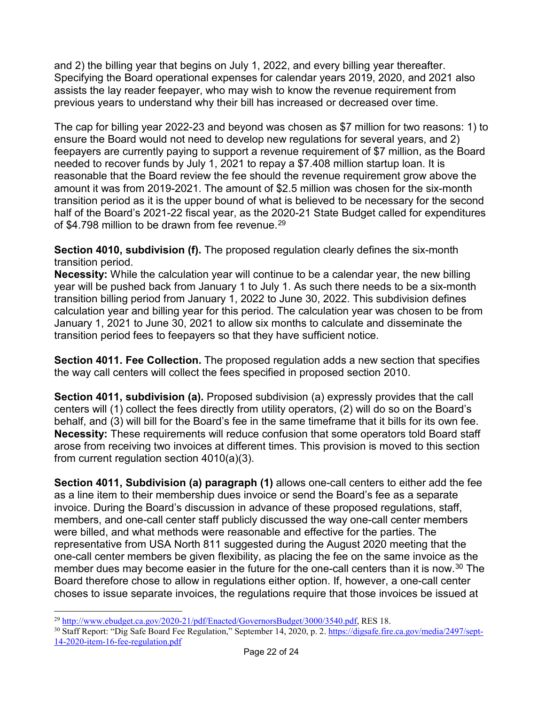and 2) the billing year that begins on July 1, 2022, and every billing year thereafter. Specifying the Board operational expenses for calendar years 2019, 2020, and 2021 also assists the lay reader feepayer, who may wish to know the revenue requirement from previous years to understand why their bill has increased or decreased over time.

The cap for billing year 2022-23 and beyond was chosen as \$7 million for two reasons: 1) to ensure the Board would not need to develop new regulations for several years, and 2) feepayers are currently paying to support a revenue requirement of \$7 million, as the Board needed to recover funds by July 1, 2021 to repay a \$7.408 million startup loan. It is reasonable that the Board review the fee should the revenue requirement grow above the amount it was from 2019-2021. The amount of \$2.5 million was chosen for the six-month transition period as it is the upper bound of what is believed to be necessary for the second half of the Board's 2021-22 fiscal year, as the 2020-21 State Budget called for expenditures of \$4.798 million to be drawn from fee revenue.<sup>[29](#page-21-0)</sup>

**Section 4010, subdivision (f).** The proposed regulation clearly defines the six-month transition period.

**Necessity:** While the calculation year will continue to be a calendar year, the new billing year will be pushed back from January 1 to July 1. As such there needs to be a six-month transition billing period from January 1, 2022 to June 30, 2022. This subdivision defines calculation year and billing year for this period. The calculation year was chosen to be from January 1, 2021 to June 30, 2021 to allow six months to calculate and disseminate the transition period fees to feepayers so that they have sufficient notice.

**Section 4011. Fee Collection.** The proposed regulation adds a new section that specifies the way call centers will collect the fees specified in proposed section 2010.

**Section 4011, subdivision (a).** Proposed subdivision (a) expressly provides that the call centers will (1) collect the fees directly from utility operators, (2) will do so on the Board's behalf, and (3) will bill for the Board's fee in the same timeframe that it bills for its own fee. **Necessity:** These requirements will reduce confusion that some operators told Board staff arose from receiving two invoices at different times. This provision is moved to this section from current regulation section 4010(a)(3).

**Section 4011, Subdivision (a) paragraph (1)** allows one-call centers to either add the fee as a line item to their membership dues invoice or send the Board's fee as a separate invoice. During the Board's discussion in advance of these proposed regulations, staff, members, and one-call center staff publicly discussed the way one-call center members were billed, and what methods were reasonable and effective for the parties. The representative from USA North 811 suggested during the August 2020 meeting that the one-call center members be given flexibility, as placing the fee on the same invoice as the member dues may become easier in the future for the one-call centers than it is now.<sup>[30](#page-21-1)</sup> The Board therefore chose to allow in regulations either option. If, however, a one-call center choses to issue separate invoices, the regulations require that those invoices be issued at

<span id="page-21-0"></span> $\overline{a}$ <sup>29</sup> [http://www.ebudget.ca.gov/2020-21/pdf/Enacted/GovernorsBudget/3000/3540.pdf,](http://www.ebudget.ca.gov/2020-21/pdf/Enacted/GovernorsBudget/3000/3540.pdf) RES 18.

<span id="page-21-1"></span><sup>30</sup> Staff Report: "Dig Safe Board Fee Regulation," September 14, 2020, p. 2. [https://digsafe.fire.ca.gov/media/2497/sept-](https://digsafe.fire.ca.gov/media/2497/sept-14-2020-item-16-fee-regulation.pdf)[14-2020-item-16-fee-regulation.pdf](https://digsafe.fire.ca.gov/media/2497/sept-14-2020-item-16-fee-regulation.pdf)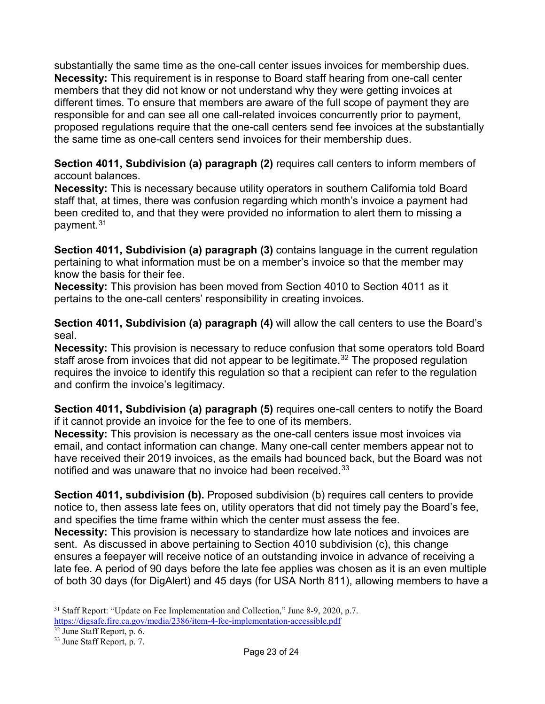substantially the same time as the one-call center issues invoices for membership dues. **Necessity:** This requirement is in response to Board staff hearing from one-call center members that they did not know or not understand why they were getting invoices at different times. To ensure that members are aware of the full scope of payment they are responsible for and can see all one call-related invoices concurrently prior to payment, proposed regulations require that the one-call centers send fee invoices at the substantially the same time as one-call centers send invoices for their membership dues.

**Section 4011, Subdivision (a) paragraph (2)** requires call centers to inform members of account balances.

**Necessity:** This is necessary because utility operators in southern California told Board staff that, at times, there was confusion regarding which month's invoice a payment had been credited to, and that they were provided no information to alert them to missing a payment.[31](#page-22-0)

**Section 4011, Subdivision (a) paragraph (3)** contains language in the current regulation pertaining to what information must be on a member's invoice so that the member may know the basis for their fee.

**Necessity:** This provision has been moved from Section 4010 to Section 4011 as it pertains to the one-call centers' responsibility in creating invoices.

**Section 4011, Subdivision (a) paragraph (4)** will allow the call centers to use the Board's seal.

**Necessity:** This provision is necessary to reduce confusion that some operators told Board staff arose from invoices that did not appear to be legitimate.<sup>[32](#page-22-1)</sup> The proposed regulation requires the invoice to identify this regulation so that a recipient can refer to the regulation and confirm the invoice's legitimacy.

**Section 4011, Subdivision (a) paragraph (5)** requires one-call centers to notify the Board if it cannot provide an invoice for the fee to one of its members.

**Necessity:** This provision is necessary as the one-call centers issue most invoices via email, and contact information can change. Many one-call center members appear not to have received their 2019 invoices, as the emails had bounced back, but the Board was not notified and was unaware that no invoice had been received.<sup>[33](#page-22-2)</sup>

**Section 4011, subdivision (b).** Proposed subdivision (b) requires call centers to provide notice to, then assess late fees on, utility operators that did not timely pay the Board's fee, and specifies the time frame within which the center must assess the fee. **Necessity:** This provision is necessary to standardize how late notices and invoices are sent. As discussed in above pertaining to Section 4010 subdivision (c), this change ensures a feepayer will receive notice of an outstanding invoice in advance of receiving a late fee. A period of 90 days before the late fee applies was chosen as it is an even multiple of both 30 days (for DigAlert) and 45 days (for USA North 811), allowing members to have a

<span id="page-22-0"></span> $\overline{a}$ <sup>31</sup> Staff Report: "Update on Fee Implementation and Collection," June 8-9, 2020, p.7. <https://digsafe.fire.ca.gov/media/2386/item-4-fee-implementation-accessible.pdf>

<span id="page-22-1"></span><sup>32</sup> June Staff Report, p. 6.

<span id="page-22-2"></span><sup>33</sup> June Staff Report, p. 7.